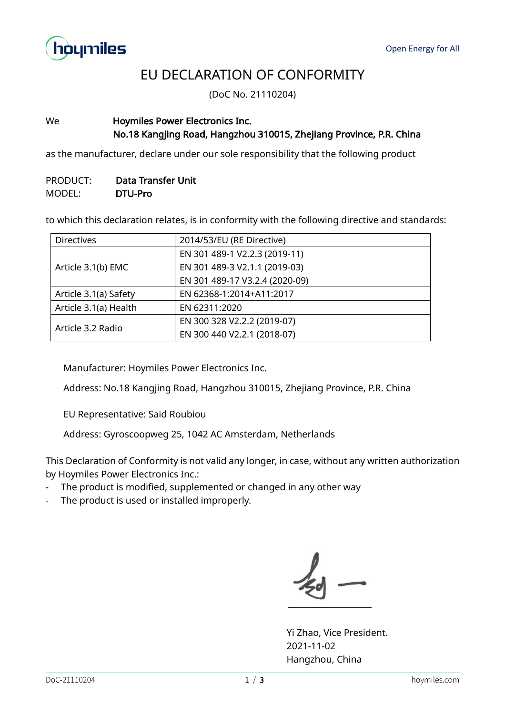

## EU DECLARATION OF CONFORMITY

(DoC No. 21110204)

## We **Hoymiles Power Electronics Inc.** No.18 Kangjing Road, Hangzhou 310015, Zhejiang Province, P.R. China

as the manufacturer, declare under our sole responsibility that the following product

## PRODUCT: Data Transfer Unit MODEL: DTU-Pro

to which this declaration relates, is in conformity with the following directive and standards:

| <b>Directives</b>     | 2014/53/EU (RE Directive)      |
|-----------------------|--------------------------------|
| Article 3.1(b) EMC    | EN 301 489-1 V2.2.3 (2019-11)  |
|                       | EN 301 489-3 V2.1.1 (2019-03)  |
|                       | EN 301 489-17 V3.2.4 (2020-09) |
| Article 3.1(a) Safety | EN 62368-1:2014+A11:2017       |
| Article 3.1(a) Health | EN 62311:2020                  |
| Article 3.2 Radio     | EN 300 328 V2.2.2 (2019-07)    |
|                       | EN 300 440 V2.2.1 (2018-07)    |

Manufacturer: Hoymiles Power Electronics Inc.

Address: No.18 Kangjing Road, Hangzhou 310015, Zhejiang Province, P.R. China

EU Representative: Said Roubiou

Address: Gyroscoopweg 25, 1042 AC Amsterdam, Netherlands

This Declaration of Conformity is not valid any longer, in case, without any written authorization by Hoymiles Power Electronics Inc.:

- The product is modified, supplemented or changed in any other way
- The product is used or installed improperly.

Yi Zhao, Vice President. 2021-11-02 Hangzhou, China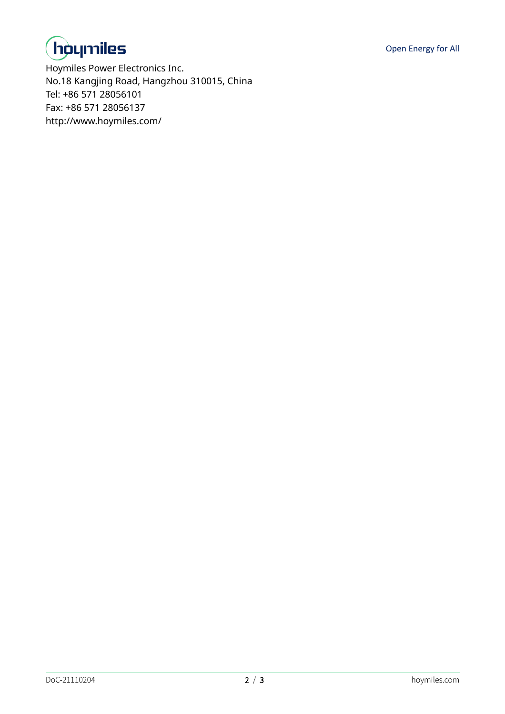



Hoymiles Power Electronics Inc. No.18 Kangjing Road, Hangzhou 310015, China Tel: +86 571 28056101 Fax: +86 571 28056137 http://www.hoymiles.com/